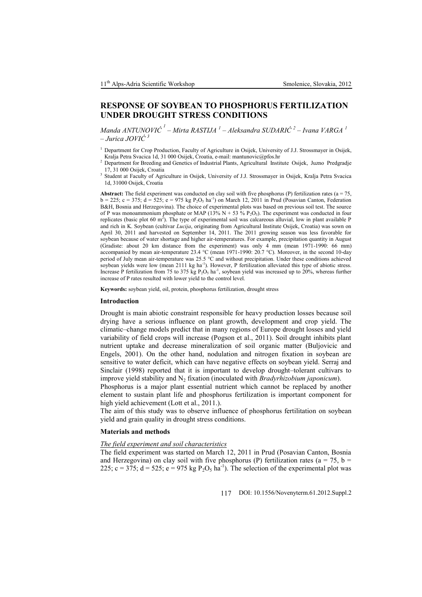# **RESPONSE OF SOYBEAN TO PHOSPHORUS FERTILIZATION UNDER DROUGHT STRESS CONDITIONS**

*Manda ANTUNOVIĆ <sup>1</sup> – Mirta RASTIJA <sup>1</sup> – Aleksandra SUDARIĆ <sup>2</sup> – Ivana VARGA <sup>1</sup> – Jurica JOVIĆ <sup>3</sup>*

- <sup>1</sup> Department for Crop Production, Faculty of Agriculture in Osijek, University of J.J. Strossmayer in Osijek, Kralja Petra Svacica 1d, 31 000 Osijek, Croatia, e-mail: mantunovic@pfos.hr
- <sup>2</sup> Department for Breeding and Genetics of Industrial Plants, Agricultural Institute Osijek, Juzno Predgradje 17, 31 000 Osijek, Croatia
- 3 Student at Faculty of Agriculture in Osijek, University of J.J. Strossmayer in Osijek, Kralja Petra Svacica 1d, 31000 Osijek, Croatia

**Abstract:** The field experiment was conducted on clay soil with five phosphorus (P) fertilization rates ( $a = 75$ ,  $b = 225$ ;  $c = 375$ ;  $d = 525$ ;  $e = 975$  kg  $P_2O_5$  ha<sup>-1</sup>) on March 12, 2011 in Prud (Posavian Canton, Federation B&H, Bosnia and Herzegovina). The choice of experimental plots was based on previous soil test. The source of P was monoammonium phosphate or MAP (13% N + 53 % P<sub>2</sub>O<sub>5</sub>). The experiment was conducted in four replicates (basic plot 60  $m<sup>2</sup>$ ). The type of experimental soil was calcareous alluvial, low in plant available P and rich in K. Soybean (cultivar *Lucija*, originating from Agricultural Institute Osijek, Croatia) was sown on April 30, 2011 and harvested on September 14, 2011. The 2011 growing season was less favorable for soybean because of water shortage and higher air-temperatures. For example, precipitation quantity in August (Gradiste: about 20 km distance from the experiment) was only 4 mm (mean 1971-1990: 66 mm) accompanied by mean air-temperature 23.4 °C (mean 1971-1990: 20.7 °C). Moreover, in the second 10-day period of July mean air-temperature was 25.5 °C and without precipitation. Under these conditions achieved soybean yields were low (mean 2111 kg ha<sup>-1</sup>). However, P fertilization alleviated this type of abiotic stress. Increase P fertilization from 75 to 375 kg  $P_2O_5$  ha<sup>-1</sup>, soybean yield was increased up to 20%, whereas further increase of P rates resulted with lower yield to the control level.

**Keywords:** soybean yield, oil, protein, phosphorus fertilization, drought stress

## **Introduction**

Drought is main abiotic constraint responsible for heavy production losses because soil drying have a serious influence on plant growth, development and crop yield. The climatic–change models predict that in many regions of Europe drought losses and yield variability of field crops will increase (Pogson et al., 2011). Soil drought inhibits plant nutrient uptake and decrease mineralization of soil organic matter (Buljovicic and Engels, 2001). On the other hand, nodulation and nitrogen fixation in soybean are sensitive to water deficit, which can have negative effects on soybean yield. Serraj and Sinclair (1998) reported that it is important to develop drought–tolerant cultivars to improve yield stability and N<sup>2</sup> fixation (inoculated with *Bradyrhizobium japonicum*).

Phosphorus is a major plant essential nutrient which cannot be replaced by another element to sustain plant life and phosphorus fertilization is important component for high yield achievement (Lott et al., 2011.).

The aim of this study was to observe influence of phosphorus fertilitation on soybean yield and grain quality in drought stress conditions.

# **Materials and methods**

## *The field experiment and soil characteristics*

The field experiment was started on March 12, 2011 in Prud (Posavian Canton, Bosnia and Herzegovina) on clay soil with five phosphorus (P) fertilization rates ( $a = 75$ ,  $b =$ 225; c = 375; d = 525; e = 975 kg  $P_2O_5$  ha<sup>-1</sup>). The selection of the experimental plot was

117 DOI: 10.1556/Novenyterm.61.2012.Suppl.2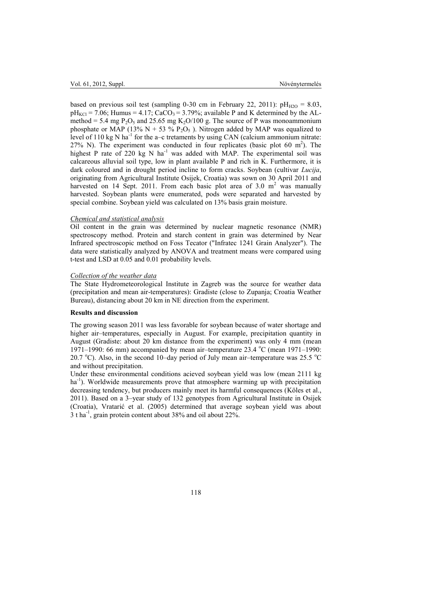based on previous soil test (sampling 0-30 cm in February 22, 2011):  $pH_{H2O} = 8.03$ ,  $pH_{\text{KCl}} = 7.06$ ; Humus = 4.17; CaCO<sub>3</sub> = 3.79%; available P and K determined by the ALmethod = 5.4 mg  $P_2O_5$  and 25.65 mg K<sub>2</sub>O/100 g. The source of P was monoammonium phosphate or MAP (13% N + 53 % P<sub>2</sub>O<sub>5</sub>). Nitrogen added by MAP was equalized to level of 110 kg N ha<sup>-1</sup> for the a-c tretaments by using CAN (calcium ammonium nitrate: 27% N). The experiment was conducted in four replicates (basic plot 60  $m<sup>2</sup>$ ). The highest P rate of 220 kg N  $ha^{-1}$  was added with MAP. The experimental soil was calcareous alluvial soil type, low in plant available P and rich in K. Furthermore, it is dark coloured and in drought period incline to form cracks. Soybean (cultivar *Lucija*, originating from Agricultural Institute Osijek, Croatia) was sown on 30 April 2011 and harvested on 14 Sept. 2011. From each basic plot area of 3.0  $m<sup>2</sup>$  was manually harvested. Soybean plants were enumerated, pods were separated and harvested by special combine. Soybean yield was calculated on 13% basis grain moisture.

#### *Chemical and statistical analysis*

Oil content in the grain was determined by nuclear magnetic resonance (NMR) spectroscopy method. Protein and starch content in grain was determined by Near Infrared spectroscopic method on Foss Tecator ("Infratec 1241 Grain Analyzer"). The data were statistically analyzed by ANOVA and treatment means were compared using t-test and LSD at 0.05 and 0.01 probability levels.

## *Collection of the weather data*

The State Hydrometeorological Institute in Zagreb was the source for weather data (precipitation and mean air-temperatures): Gradiste (close to Zupanja; Croatia Weather Bureau), distancing about 20 km in NE direction from the experiment.

## **Results and discussion**

The growing season 2011 was less favorable for soybean because of water shortage and higher air–temperatures, especially in August. For example, precipitation quantity in August (Gradiste: about 20 km distance from the experiment) was only 4 mm (mean 1971–1990: 66 mm) accompanied by mean air-temperature 23.4  $^{\circ}$ C (mean 1971–1990: 20.7 °C). Also, in the second 10–day period of July mean air–temperature was 25.5 °C and without precipitation.

Under these environmental conditions acieved soybean yield was low (mean 2111 kg ha<sup>-1</sup>). Worldwide measurements prove that atmosphere warming up with precipitation decreasing tendency, but producers mainly meet its harmful consequences (Köles et al., 2011). Based on a 3–year study of 132 genotypes from Agricultural Institute in Osijek (Croatia), Vratarić et al. (2005) determined that average soybean yield was about 3 t ha<sup>-1</sup>, grain protein content about 38% and oil about 22%.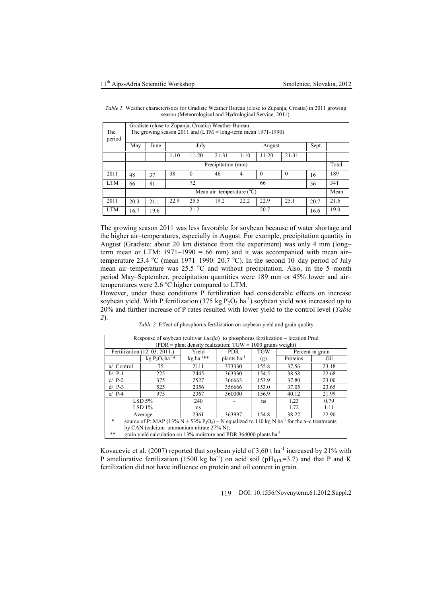| The<br>period | Gradiste (close to Zupanja, Croatia) Weather Bureau<br>The growing season 2011 and $(LTM = long-term mean 1971-1990)$ |      |          |           |           |          |           |           |       |       |  |
|---------------|-----------------------------------------------------------------------------------------------------------------------|------|----------|-----------|-----------|----------|-----------|-----------|-------|-------|--|
|               | May                                                                                                                   | June |          | July      |           | August   |           |           | Sept. |       |  |
|               |                                                                                                                       |      | $1 - 10$ | $11 - 20$ | $21 - 31$ | $1 - 10$ | $11 - 20$ | $21 - 31$ |       |       |  |
|               | Precipitation (mm)                                                                                                    |      |          |           |           |          |           |           |       | Total |  |
| 2011          | 48                                                                                                                    | 37   | 38       | $\theta$  | 46        | 4        | $\theta$  | $\Omega$  | 16    | 189   |  |
| <b>LTM</b>    | 66                                                                                                                    | 81   | 72       |           |           | 66       |           |           | 56    | 341   |  |
|               | Mean air-temperature $(^{\circ}C)$                                                                                    |      |          |           |           |          |           |           |       | Mean  |  |
| 2011          | 20.3                                                                                                                  | 21.1 | 22.9     | 25.5      | 19.2      | 22.2     | 22.9      | 25.1      | 20.7  | 21.6  |  |
| <b>LTM</b>    | 16.7                                                                                                                  | 19.6 | 21.2     |           |           | 20.7     |           |           | 16.6  | 19.0  |  |

*Table 1.* Weather characteristics for Gradiste Weather Bureau (close to Zupanja, Croatia) in 2011 growing season (Meteorological and Hydrological Service, 2011).

The growing season 2011 was less favorable for soybean because of water shortage and the higher air–temperatures, especially in August. For example, precipitation quantity in August (Gradiste: about 20 km distance from the experiment) was only 4 mm (long– term mean or LTM: 1971–1990 = 66 mm) and it was accompanied with mean air– temperature 23.4 °C (mean 1971–1990: 20.7 °C). In the second 10–day period of July mean air–temperature was  $25.5 \degree C$  and without precipitation. Also, in the 5–month period May–September, precipitation quantities were 189 mm or 45% lower and air– temperatures were  $2.6 \degree C$  higher compared to LTM.

However, under these conditions P fertilization had considerable effects on increase soybean yield. With P fertilization (375 kg  $P_2O_5$  ha<sup>-1</sup>) soybean yield was increased up to 20% and further increase of P rates resulted with lower yield to the control level (*Table 2*).

*Table 2.* Effect of phosphorus fertilization on soybean yield and grain quality

| Response of soybean (cultivar <i>Lucija</i> ) to phosphorus fertilization – location Prud                                                 |                                                                                |                       |                         |            |                  |       |  |  |  |  |
|-------------------------------------------------------------------------------------------------------------------------------------------|--------------------------------------------------------------------------------|-----------------------|-------------------------|------------|------------------|-------|--|--|--|--|
| $(PDR = plant density realization; TGW = 1000 grains weight)$                                                                             |                                                                                |                       |                         |            |                  |       |  |  |  |  |
|                                                                                                                                           | Fertilization (12, 03, 2011.)                                                  | Yield                 | <b>PDR</b>              | <b>TGW</b> | Percent in grain |       |  |  |  |  |
|                                                                                                                                           | kg $P_2O_5$ ha <sup>-1*</sup>                                                  | kg ha <sup>-1**</sup> | plants ha <sup>-1</sup> | (g)        | Proteins         | Oil   |  |  |  |  |
| a/ Control                                                                                                                                | 75                                                                             | 2111                  | 373330                  | 155.8      | 37.56            | 23.18 |  |  |  |  |
| $b/$ P-1                                                                                                                                  | 225                                                                            | 2445                  | 363330                  | 154.5      | 38.58            | 22.68 |  |  |  |  |
| $c/P-2$                                                                                                                                   | 375                                                                            | 2527                  | 366663                  | 153.9      | 37.80            | 23.00 |  |  |  |  |
| $d/P-3$                                                                                                                                   | 525                                                                            | 2356                  | 356666                  | 153.0      | 37.05            | 23.65 |  |  |  |  |
| $e/$ P-4                                                                                                                                  | 975                                                                            | 2367                  | 360000                  | 156.9      | 40.12            | 21.99 |  |  |  |  |
|                                                                                                                                           | $LSD$ 5%                                                                       | 240                   |                         | ns         | 1.23             | 0.79  |  |  |  |  |
|                                                                                                                                           | LSD <sub>1%</sub>                                                              | ns                    |                         |            | 1.72             | 1.11  |  |  |  |  |
|                                                                                                                                           | Average                                                                        | 2361                  | 363997                  | 154.8      | 38.22            | 22.90 |  |  |  |  |
| $\ast$<br>source of P: MAP (13% N + 53% P <sub>2</sub> O <sub>5</sub> ) – N equalized to 110 kg N ha <sup>-1</sup> for the a–c treatments |                                                                                |                       |                         |            |                  |       |  |  |  |  |
| by CAN (calcium–ammonium nitrate 27% N);                                                                                                  |                                                                                |                       |                         |            |                  |       |  |  |  |  |
| **                                                                                                                                        | grain yield calculation on 13% moisture and PDR 364000 plants ha <sup>-1</sup> |                       |                         |            |                  |       |  |  |  |  |

Kovacevic et al. (2007) reported that soybean yield of 3,60 t ha<sup>-1</sup> increased by 21% with P ameliorative fertilization (1500 kg ha<sup>-1</sup>) on acid soil (pH<sub>KCL</sub>=3.7) and that P and K fertilization did not have influence on protein and oil content in grain.

119 DOI: 10.1556/Novenyterm.61.2012.Suppl.2